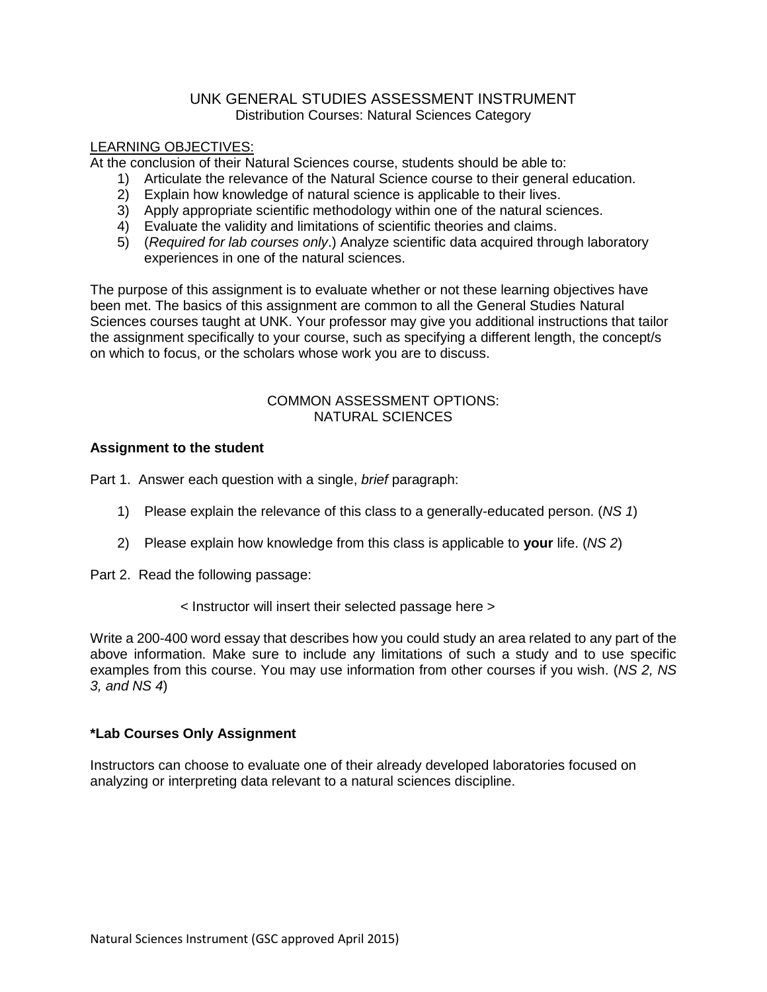# UNK GENERAL STUDIES ASSESSMENT INSTRUMENT Distribution Courses: Natural Sciences Category

## LEARNING OBJECTIVES:

At the conclusion of their Natural Sciences course, students should be able to:

- 1) Articulate the relevance of the Natural Science course to their general education.
- 2) Explain how knowledge of natural science is applicable to their lives.
- 3) Apply appropriate scientific methodology within one of the natural sciences.
- 4) Evaluate the validity and limitations of scientific theories and claims.
- 5) (*Required for lab courses only*.) Analyze scientific data acquired through laboratory experiences in one of the natural sciences.

The purpose of this assignment is to evaluate whether or not these learning objectives have been met. The basics of this assignment are common to all the General Studies Natural Sciences courses taught at UNK. Your professor may give you additional instructions that tailor the assignment specifically to your course, such as specifying a different length, the concept/s on which to focus, or the scholars whose work you are to discuss.

# COMMON ASSESSMENT OPTIONS: NATURAL SCIENCES

# **Assignment to the student**

Part 1. Answer each question with a single, *brief* paragraph:

- 1) Please explain the relevance of this class to a generally-educated person. (*NS 1*)
- 2) Please explain how knowledge from this class is applicable to **your** life. (*NS 2*)
- Part 2. Read the following passage:
	- < Instructor will insert their selected passage here >

Write a 200-400 word essay that describes how you could study an area related to any part of the above information. Make sure to include any limitations of such a study and to use specific examples from this course. You may use information from other courses if you wish. (*NS 2, NS 3, and NS 4*)

# **\*Lab Courses Only Assignment**

Instructors can choose to evaluate one of their already developed laboratories focused on analyzing or interpreting data relevant to a natural sciences discipline.